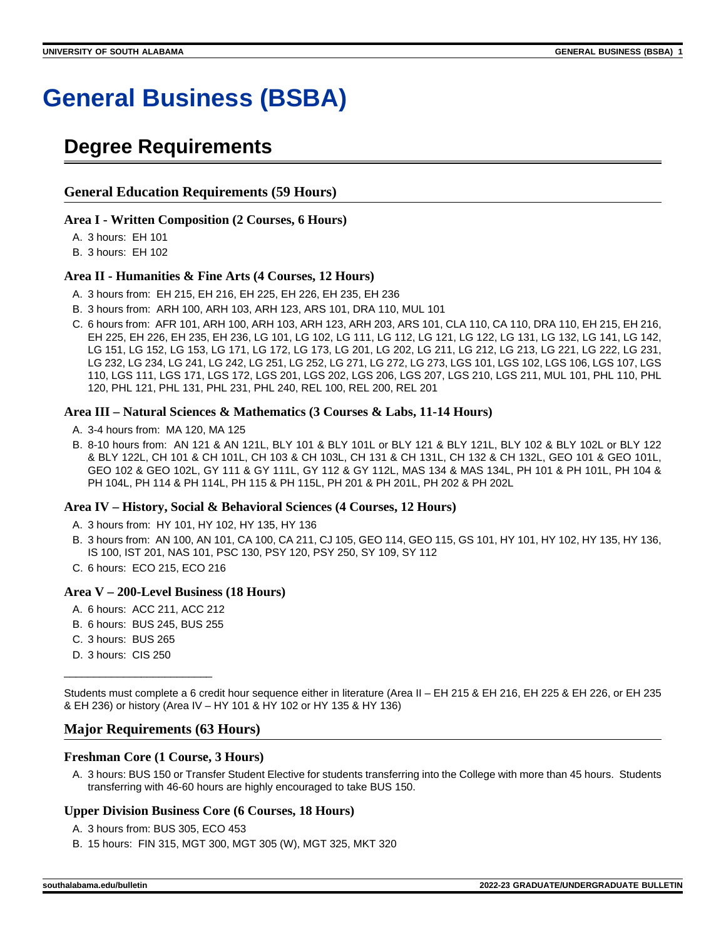# **General Business (BSBA)**

## **Degree Requirements**

#### **General Education Requirements (59 Hours)**

#### **Area I - Written Composition (2 Courses, 6 Hours)**

A. 3 hours: EH 101

B. 3 hours: EH 102

#### **Area II - Humanities & Fine Arts (4 Courses, 12 Hours)**

- A. 3 hours from: EH 215, EH 216, EH 225, EH 226, EH 235, EH 236
- B. 3 hours from: ARH 100, ARH 103, ARH 123, ARS 101, DRA 110, MUL 101
- C. 6 hours from: AFR 101, ARH 100, ARH 103, ARH 123, ARH 203, ARS 101, CLA 110, CA 110, DRA 110, EH 215, EH 216, EH 225, EH 226, EH 235, EH 236, LG 101, LG 102, LG 111, LG 112, LG 121, LG 122, LG 131, LG 132, LG 141, LG 142, LG 151, LG 152, LG 153, LG 171, LG 172, LG 173, LG 201, LG 202, LG 211, LG 212, LG 213, LG 221, LG 222, LG 231, LG 232, LG 234, LG 241, LG 242, LG 251, LG 252, LG 271, LG 272, LG 273, LGS 101, LGS 102, LGS 106, LGS 107, LGS 110, LGS 111, LGS 171, LGS 172, LGS 201, LGS 202, LGS 206, LGS 207, LGS 210, LGS 211, MUL 101, PHL 110, PHL 120, PHL 121, PHL 131, PHL 231, PHL 240, REL 100, REL 200, REL 201

#### **Area III – Natural Sciences & Mathematics (3 Courses & Labs, 11-14 Hours)**

- A. 3-4 hours from: MA 120, MA 125
- B. 8-10 hours from: AN 121 & AN 121L, BLY 101 & BLY 101L or BLY 121 & BLY 121L, BLY 102 & BLY 102L or BLY 122 & BLY 122L, CH 101 & CH 101L, CH 103 & CH 103L, CH 131 & CH 131L, CH 132 & CH 132L, GEO 101 & GEO 101L, GEO 102 & GEO 102L, GY 111 & GY 111L, GY 112 & GY 112L, MAS 134 & MAS 134L, PH 101 & PH 101L, PH 104 & PH 104L, PH 114 & PH 114L, PH 115 & PH 115L, PH 201 & PH 201L, PH 202 & PH 202L

#### **Area IV – History, Social & Behavioral Sciences (4 Courses, 12 Hours)**

- A. 3 hours from: HY 101, HY 102, HY 135, HY 136
- B. 3 hours from: AN 100, AN 101, CA 100, CA 211, CJ 105, GEO 114, GEO 115, GS 101, HY 101, HY 102, HY 135, HY 136, IS 100, IST 201, NAS 101, PSC 130, PSY 120, PSY 250, SY 109, SY 112
- C. 6 hours: ECO 215, ECO 216

#### **Area V – 200-Level Business (18 Hours)**

- A. 6 hours: ACC 211, ACC 212
- B. 6 hours: BUS 245, BUS 255

\_\_\_\_\_\_\_\_\_\_\_\_\_\_\_\_\_\_\_\_\_\_\_\_\_

- C. 3 hours: BUS 265
- D. 3 hours: CIS 250

Students must complete a 6 credit hour sequence either in literature (Area II – EH 215 & EH 216, EH 225 & EH 226, or EH 235 & EH 236) or history (Area IV – HY 101 & HY 102 or HY 135 & HY 136)

#### **Major Requirements (63 Hours)**

#### **Freshman Core (1 Course, 3 Hours)**

A. 3 hours: BUS 150 or Transfer Student Elective for students transferring into the College with more than 45 hours. Students transferring with 46-60 hours are highly encouraged to take BUS 150.

#### **Upper Division Business Core (6 Courses, 18 Hours)**

- A. 3 hours from: BUS 305, ECO 453
- B. 15 hours: FIN 315, MGT 300, MGT 305 (W), MGT 325, MKT 320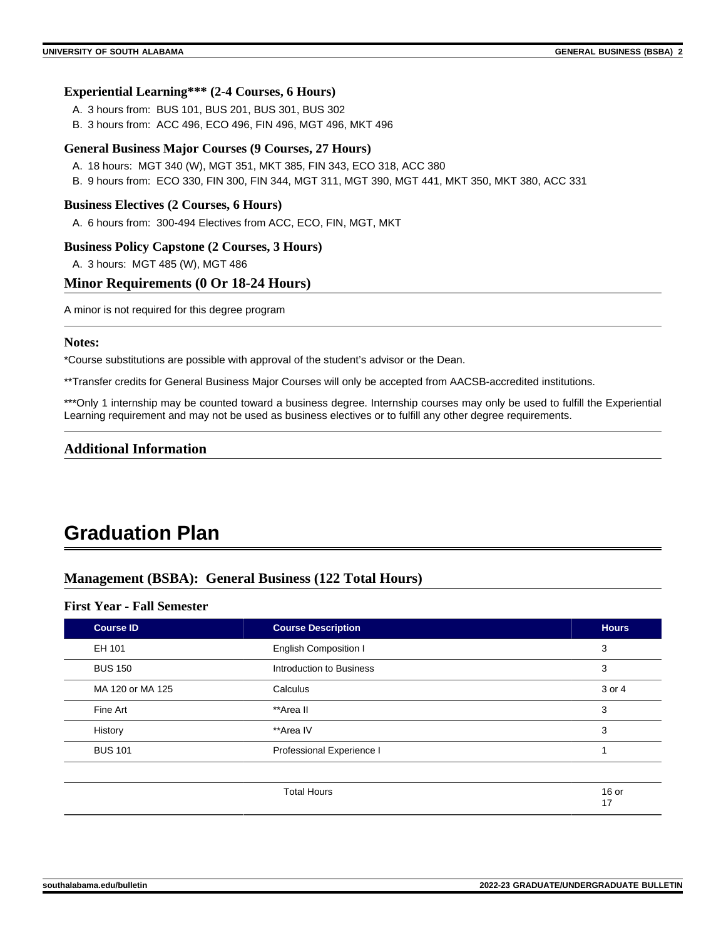#### **Experiential Learning\*\*\* (2-4 Courses, 6 Hours)**

- A. 3 hours from: BUS 101, BUS 201, BUS 301, BUS 302
- B. 3 hours from: ACC 496, ECO 496, FIN 496, MGT 496, MKT 496

#### **General Business Major Courses (9 Courses, 27 Hours)**

- A. 18 hours: MGT 340 (W), MGT 351, MKT 385, FIN 343, ECO 318, ACC 380
- B. 9 hours from: ECO 330, FIN 300, FIN 344, MGT 311, MGT 390, MGT 441, MKT 350, MKT 380, ACC 331

#### **Business Electives (2 Courses, 6 Hours)**

A. 6 hours from: 300-494 Electives from ACC, ECO, FIN, MGT, MKT

#### **Business Policy Capstone (2 Courses, 3 Hours)**

A. 3 hours: MGT 485 (W), MGT 486

#### **Minor Requirements (0 Or 18-24 Hours)**

A minor is not required for this degree program

#### **Notes:**

\*Course substitutions are possible with approval of the student's advisor or the Dean.

\*\*Transfer credits for General Business Major Courses will only be accepted from AACSB-accredited institutions.

\*\*\*Only 1 internship may be counted toward a business degree. Internship courses may only be used to fulfill the Experiential Learning requirement and may not be used as business electives or to fulfill any other degree requirements.

#### **Additional Information**

## **Graduation Plan**

#### **Management (BSBA): General Business (122 Total Hours)**

#### **First Year - Fall Semester**

| <b>Course Description</b>    | <b>Hours</b>  |
|------------------------------|---------------|
| <b>English Composition I</b> | 3             |
| Introduction to Business     | 3             |
| Calculus                     | 3 or 4        |
| **Area II                    | 3             |
| **Area IV                    | 3             |
| Professional Experience I    | 1             |
|                              |               |
| <b>Total Hours</b>           | $16$ or<br>17 |
|                              |               |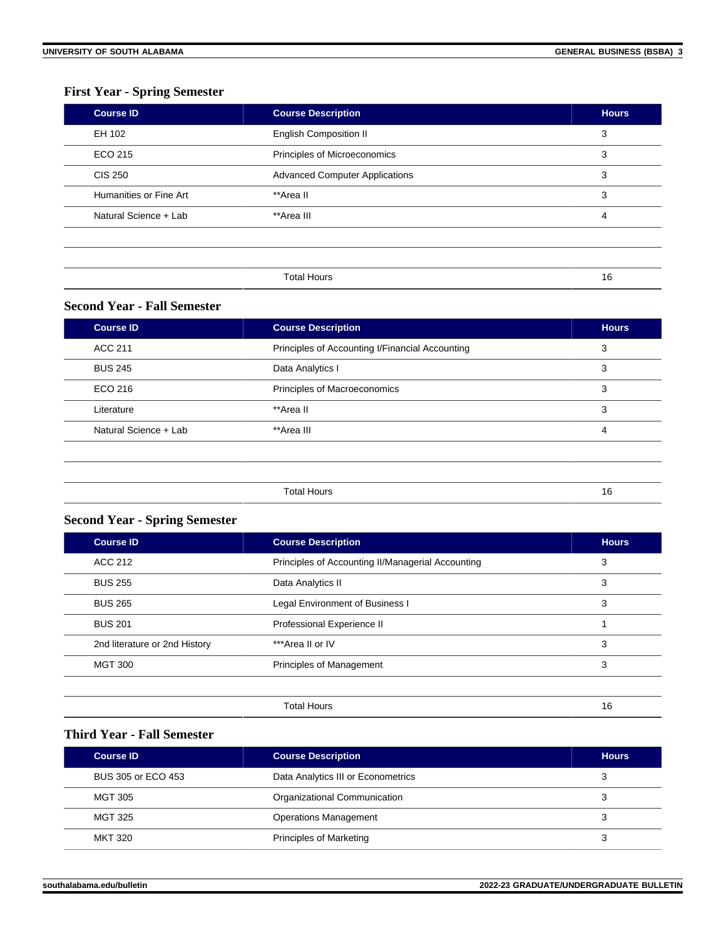### **First Year - Spring Semester**

| <b>Course ID</b>       | <b>Course Description</b>             | <b>Hours</b> |
|------------------------|---------------------------------------|--------------|
| EH 102                 | <b>English Composition II</b>         | 3            |
| ECO 215                | Principles of Microeconomics          | 3            |
| <b>CIS 250</b>         | <b>Advanced Computer Applications</b> |              |
| Humanities or Fine Art | **Area II                             | 3            |
| Natural Science + Lab  | **Area III                            | 4            |
|                        |                                       |              |
|                        |                                       |              |
|                        | <b>Total Hours</b>                    | 16           |

#### **Second Year - Fall Semester**

| <b>Course ID</b>      | <b>Course Description</b>                       | <b>Hours</b> |
|-----------------------|-------------------------------------------------|--------------|
| ACC 211               | Principles of Accounting I/Financial Accounting | 3            |
| <b>BUS 245</b>        | Data Analytics I                                | 3            |
| ECO 216               | Principles of Macroeconomics                    | 3            |
| Literature            | **Area II                                       | 3            |
| Natural Science + Lab | **Area III                                      | 4            |
|                       |                                                 |              |
|                       |                                                 |              |
|                       | <b>Total Hours</b>                              | 16           |

## **Second Year - Spring Semester**

| <b>Course ID</b>              | <b>Course Description</b>                         | <b>Hours</b> |
|-------------------------------|---------------------------------------------------|--------------|
| <b>ACC 212</b>                | Principles of Accounting II/Managerial Accounting | 3            |
| <b>BUS 255</b>                | Data Analytics II                                 | 3            |
| <b>BUS 265</b>                | Legal Environment of Business I                   | 3            |
| <b>BUS 201</b>                | Professional Experience II                        |              |
| 2nd literature or 2nd History | ***Area II or IV                                  | 3            |
| <b>MGT 300</b>                | Principles of Management                          | 3            |
|                               |                                                   |              |
|                               | <b>Total Hours</b>                                | 16           |

#### **Third Year - Fall Semester**

| <b>Course ID</b>   | <b>Course Description</b>          | <b>Hours</b> |
|--------------------|------------------------------------|--------------|
| BUS 305 or ECO 453 | Data Analytics III or Econometrics |              |
| MGT 305            | Organizational Communication       | 3            |
| MGT 325            | <b>Operations Management</b>       | 3            |
| MKT 320            | <b>Principles of Marketing</b>     |              |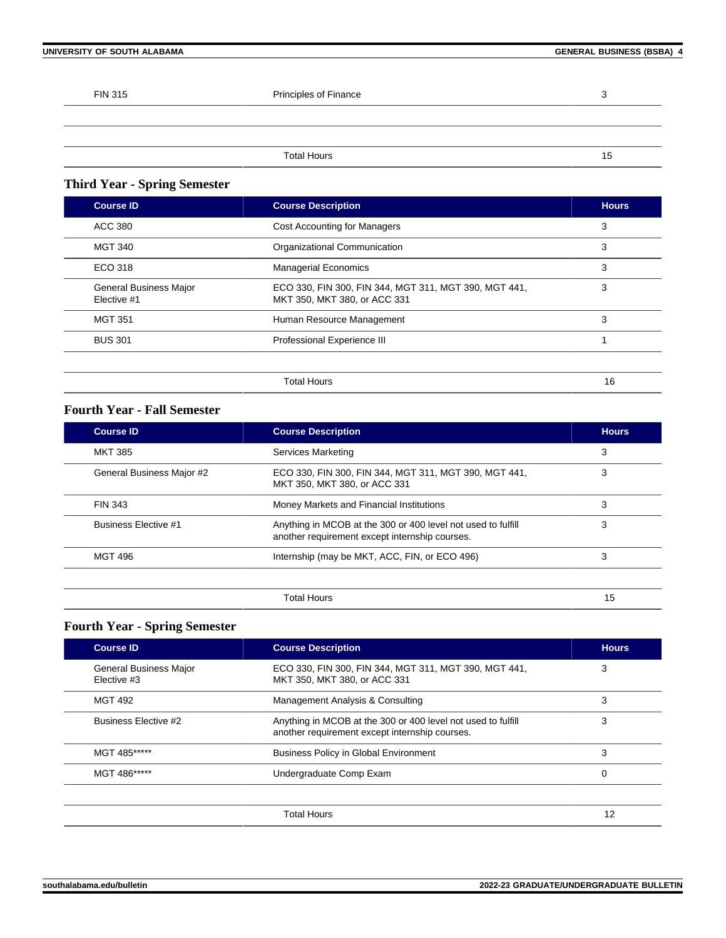#### **UNIVERSITY OF SOUTH ALABAMA GENERAL BUSINESS (BSBA) 4**

| <b>FIN 315</b> | Principles of Finance | ാ<br>w |
|----------------|-----------------------|--------|
|                |                       |        |
|                |                       |        |
|                | <b>Total Hours</b>    | 15     |

## **Third Year - Spring Semester**

| <b>Course ID</b>                             | <b>Course Description</b>                                                             | <b>Hours</b> |
|----------------------------------------------|---------------------------------------------------------------------------------------|--------------|
| ACC 380                                      | <b>Cost Accounting for Managers</b>                                                   | 3            |
| <b>MGT 340</b>                               | Organizational Communication                                                          | 3            |
| ECO 318                                      | <b>Managerial Economics</b>                                                           | 3            |
| <b>General Business Major</b><br>Elective #1 | ECO 330, FIN 300, FIN 344, MGT 311, MGT 390, MGT 441,<br>MKT 350, MKT 380, or ACC 331 | 3            |
| <b>MGT 351</b>                               | Human Resource Management                                                             | 3            |
| <b>BUS 301</b>                               | Professional Experience III                                                           |              |
|                                              |                                                                                       |              |
|                                              | <b>Total Hours</b>                                                                    | 16           |

### **Fourth Year - Fall Semester**

| <b>Course ID</b>            | <b>Course Description</b>                                                                                      | <b>Hours</b> |
|-----------------------------|----------------------------------------------------------------------------------------------------------------|--------------|
| <b>MKT 385</b>              | Services Marketing                                                                                             | 3            |
| General Business Major #2   | ECO 330, FIN 300, FIN 344, MGT 311, MGT 390, MGT 441,<br>MKT 350, MKT 380, or ACC 331                          | 3            |
| FIN 343                     | Money Markets and Financial Institutions                                                                       | 3            |
| <b>Business Elective #1</b> | Anything in MCOB at the 300 or 400 level not used to fulfill<br>another requirement except internship courses. | 3            |
| <b>MGT 496</b>              | Internship (may be MKT, ACC, FIN, or ECO 496)                                                                  | 3            |
|                             | <b>Total Hours</b>                                                                                             | 15           |

## **Fourth Year - Spring Semester**

| <b>Course ID</b>                             | <b>Course Description</b>                                                                                      | <b>Hours</b> |
|----------------------------------------------|----------------------------------------------------------------------------------------------------------------|--------------|
| <b>General Business Major</b><br>Elective #3 | ECO 330, FIN 300, FIN 344, MGT 311, MGT 390, MGT 441,<br>MKT 350, MKT 380, or ACC 331                          | 3            |
| <b>MGT 492</b>                               | Management Analysis & Consulting                                                                               | 3            |
| Business Elective #2                         | Anything in MCOB at the 300 or 400 level not used to fulfill<br>another requirement except internship courses. | 3            |
| MGT 485*****                                 | <b>Business Policy in Global Environment</b>                                                                   | 3            |
| MGT 486*****                                 | Undergraduate Comp Exam                                                                                        | 0            |
|                                              |                                                                                                                |              |
|                                              | <b>Total Hours</b>                                                                                             | 12           |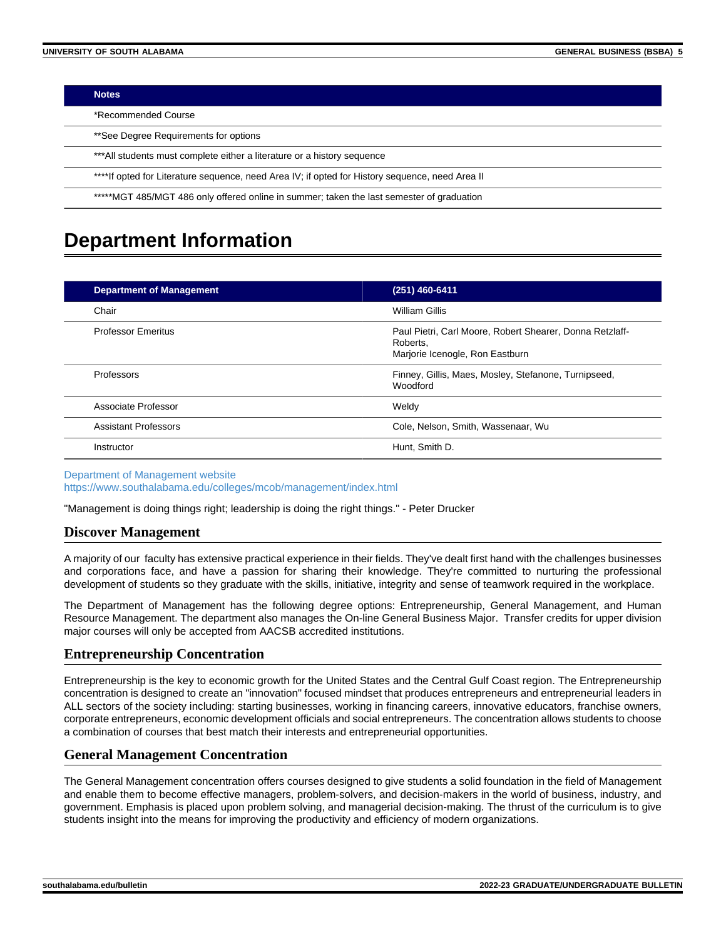| <b>Notes</b> |  |
|--------------|--|
|              |  |
|              |  |

\*Recommended Course

\*\*See Degree Requirements for options

\*\*\*All students must complete either a literature or a history sequence

\*\*\*\*If opted for Literature sequence, need Area IV; if opted for History sequence, need Area II

\*\*\*\*\*MGT 485/MGT 486 only offered online in summer; taken the last semester of graduation

## **Department Information**

| <b>Department of Management</b> | (251) 460-6411                                                                                          |
|---------------------------------|---------------------------------------------------------------------------------------------------------|
| Chair                           | William Gillis                                                                                          |
| <b>Professor Emeritus</b>       | Paul Pietri, Carl Moore, Robert Shearer, Donna Retzlaff-<br>Roberts.<br>Marjorie Icenogle, Ron Eastburn |
| Professors                      | Finney, Gillis, Maes, Mosley, Stefanone, Turnipseed,<br><b>Woodford</b>                                 |
| Associate Professor             | Weldy                                                                                                   |
| <b>Assistant Professors</b>     | Cole, Nelson, Smith, Wassenaar, Wu                                                                      |
| Instructor                      | Hunt, Smith D.                                                                                          |

[Department of Management website](https://www.southalabama.edu/colleges/mcob/management/index.html) <https://www.southalabama.edu/colleges/mcob/management/index.html>

"Management is doing things right; leadership is doing the right things." - Peter Drucker

#### **Discover Management**

A majority of our faculty has extensive practical experience in their fields. They've dealt first hand with the challenges businesses and corporations face, and have a passion for sharing their knowledge. They're committed to nurturing the professional development of students so they graduate with the skills, initiative, integrity and sense of teamwork required in the workplace.

The Department of Management has the following degree options: Entrepreneurship, General Management, and Human Resource Management. The department also manages the On-line General Business Major. Transfer credits for upper division major courses will only be accepted from AACSB accredited institutions.

#### **Entrepreneurship Concentration**

Entrepreneurship is the key to economic growth for the United States and the Central Gulf Coast region. The Entrepreneurship concentration is designed to create an "innovation" focused mindset that produces entrepreneurs and entrepreneurial leaders in ALL sectors of the society including: starting businesses, working in financing careers, innovative educators, franchise owners, corporate entrepreneurs, economic development officials and social entrepreneurs. The concentration allows students to choose a combination of courses that best match their interests and entrepreneurial opportunities.

#### **General Management Concentration**

The General Management concentration offers courses designed to give students a solid foundation in the field of Management and enable them to become effective managers, problem-solvers, and decision-makers in the world of business, industry, and government. Emphasis is placed upon problem solving, and managerial decision-making. The thrust of the curriculum is to give students insight into the means for improving the productivity and efficiency of modern organizations.